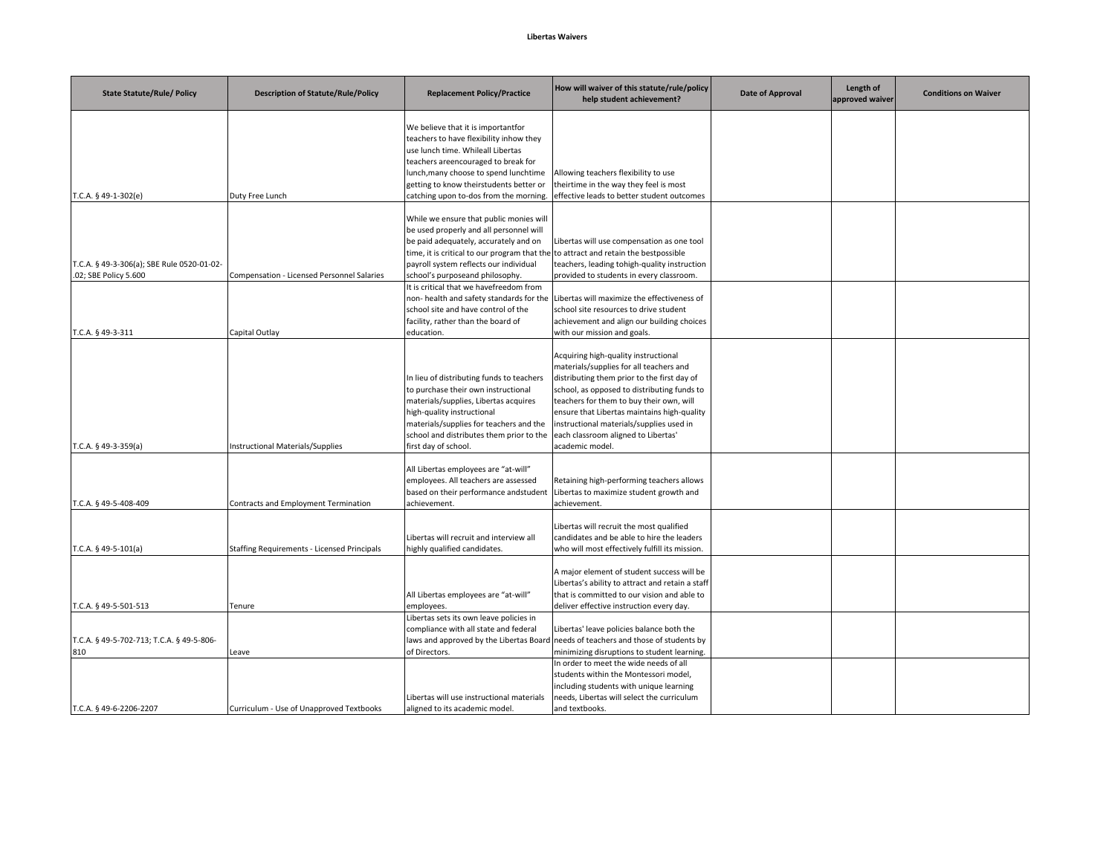## **Libertas Waivers**

| <b>State Statute/Rule/ Policy</b>                                   | <b>Description of Statute/Rule/Policy</b>   | <b>Replacement Policy/Practice</b>                                                                                                                                                                                                                                                              | How will waiver of this statute/rule/policy<br>help student achievement?                                                                                                                                                                                                                                                                                                       | Date of Approval | Length of<br>approved waiver | <b>Conditions on Waiver</b> |
|---------------------------------------------------------------------|---------------------------------------------|-------------------------------------------------------------------------------------------------------------------------------------------------------------------------------------------------------------------------------------------------------------------------------------------------|--------------------------------------------------------------------------------------------------------------------------------------------------------------------------------------------------------------------------------------------------------------------------------------------------------------------------------------------------------------------------------|------------------|------------------------------|-----------------------------|
| T.C.A. § 49-1-302(e)                                                | Duty Free Lunch                             | We believe that it is importantfor<br>teachers to have flexibility inhow they<br>use lunch time. Whileall Libertas<br>teachers areencouraged to break for<br>lunch, many choose to spend lunchtime<br>getting to know theirstudents better or<br>catching upon to-dos from the morning.         | Allowing teachers flexibility to use<br>theirtime in the way they feel is most<br>effective leads to better student outcomes                                                                                                                                                                                                                                                   |                  |                              |                             |
| T.C.A. § 49-3-306(a); SBE Rule 0520-01-02-<br>.02; SBE Policy 5.600 | Compensation - Licensed Personnel Salaries  | While we ensure that public monies will<br>be used properly and all personnel will<br>be paid adequately, accurately and on<br>time, it is critical to our program that the to attract and retain the bestpossible<br>payroll system reflects our individual<br>school's purposeand philosophy. | Libertas will use compensation as one tool<br>teachers, leading tohigh-quality instruction<br>provided to students in every classroom.                                                                                                                                                                                                                                         |                  |                              |                             |
| T.C.A. § 49-3-311                                                   | Capital Outlay                              | It is critical that we havefreedom from<br>non- health and safety standards for the<br>school site and have control of the<br>facility, rather than the board of<br>education.                                                                                                                  | Libertas will maximize the effectiveness of<br>school site resources to drive student<br>achievement and align our building choices<br>with our mission and goals.                                                                                                                                                                                                             |                  |                              |                             |
| T.C.A. § 49-3-359(a)                                                | Instructional Materials/Supplies            | In lieu of distributing funds to teachers<br>to purchase their own instructional<br>materials/supplies, Libertas acquires<br>high-quality instructional<br>materials/supplies for teachers and the<br>school and distributes them prior to the<br>first day of school.                          | Acquiring high-quality instructional<br>materials/supplies for all teachers and<br>distributing them prior to the first day of<br>school, as opposed to distributing funds to<br>teachers for them to buy their own, will<br>ensure that Libertas maintains high-quality<br>instructional materials/supplies used in<br>each classroom aligned to Libertas'<br>academic model. |                  |                              |                             |
| T.C.A. § 49-5-408-409                                               | Contracts and Employment Termination        | All Libertas employees are "at-will"<br>employees. All teachers are assessed<br>based on their performance andstudent<br>achievement.                                                                                                                                                           | Retaining high-performing teachers allows<br>Libertas to maximize student growth and<br>achievement.                                                                                                                                                                                                                                                                           |                  |                              |                             |
| T.C.A. $§$ 49-5-101(a)                                              | Staffing Requirements - Licensed Principals | Libertas will recruit and interview all<br>nighly qualified candidates.                                                                                                                                                                                                                         | Libertas will recruit the most qualified<br>candidates and be able to hire the leaders<br>who will most effectively fulfill its mission.                                                                                                                                                                                                                                       |                  |                              |                             |
| T.C.A. § 49-5-501-513                                               | Tenure                                      | All Libertas employees are "at-will"<br>employees.                                                                                                                                                                                                                                              | A major element of student success will be<br>Libertas's ability to attract and retain a staff<br>that is committed to our vision and able to<br>deliver effective instruction every day.                                                                                                                                                                                      |                  |                              |                             |
| T.C.A. § 49-5-702-713; T.C.A. § 49-5-806-<br>810                    | Leave                                       | Libertas sets its own leave policies in<br>compliance with all state and federal<br>of Directors.                                                                                                                                                                                               | Libertas' leave policies balance both the<br>laws and approved by the Libertas Board needs of teachers and those of students by<br>minimizing disruptions to student learning.                                                                                                                                                                                                 |                  |                              |                             |
| T.C.A. § 49-6-2206-2207                                             | Curriculum - Use of Unapproved Textbooks    | Libertas will use instructional materials<br>aligned to its academic model.                                                                                                                                                                                                                     | In order to meet the wide needs of all<br>students within the Montessori model,<br>including students with unique learning<br>needs, Libertas will select the curriculum<br>and textbooks.                                                                                                                                                                                     |                  |                              |                             |